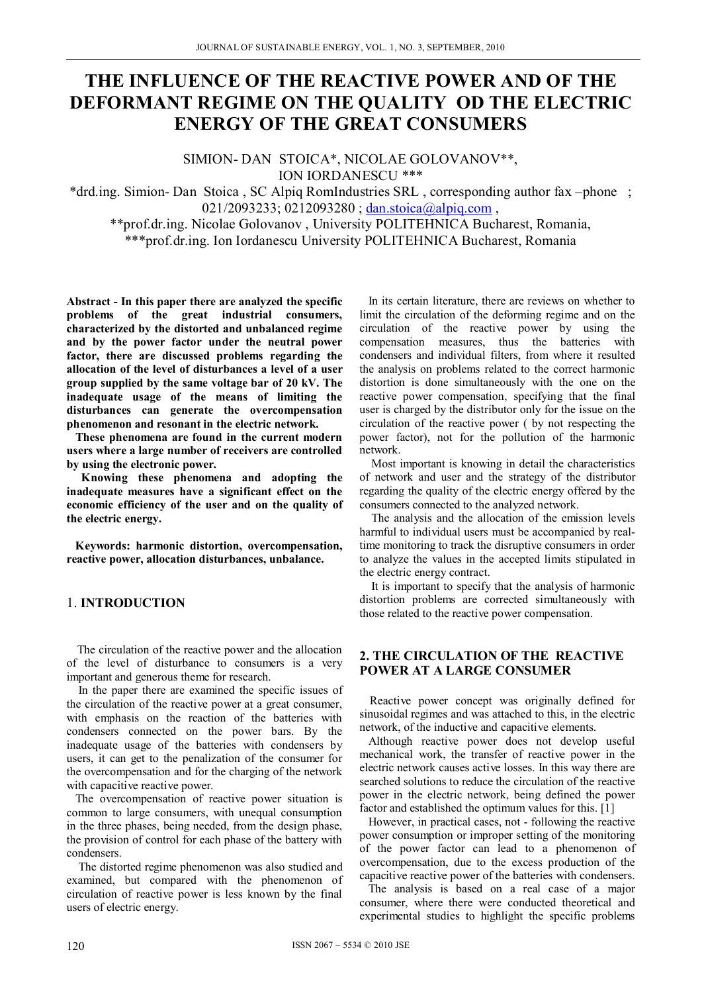# **THE INFLUENCE OF THE REACTIVE POWER AND OF THE DEFORMANT REGIME ON THE QUALITY OD THE ELECTRIC ENERGY OF THE GREAT CONSUMERS**

SIMION- DAN STOICA\*, NICOLAE GOLOVANOV\*\*, ION IORDANESCU \*\*\*

\*drd.ing. Simion- Dan Stoica , SC Alpiq RomIndustries SRL , corresponding author fax –phone ; 021/2093233; 0212093280 ;  $\frac{\text{dan.stoica}(Qalpiq.com}{\text{don.oto}}$ ,

\*\*prof.dr.ing. Nicolae Golovanov , University POLITEHNICA Bucharest, Romania, \*\*\*prof.dr.ing. Ion Iordanescu University POLITEHNICA Bucharest, Romania

**Abstract - In this paper there are analyzed the specific problems of the great industrial consumers, characterized by the distorted and unbalanced regime and by the power factor under the neutral power factor, there are discussed problems regarding the allocation of the level of disturbances a level of a user group supplied by the same voltage bar of 20 kV. The inadequate usage of the means of limiting the disturbances can generate the overcompensation phenomenon and resonant in the electric network.** 

 **These phenomena are found in the current modern users where a large number of receivers are controlled by using the electronic power.** 

 **Knowing these phenomena and adopting the inadequate measures have a significant effect on the economic efficiency of the user and on the quality of the electric energy.** 

 **Keywords: harmonic distortion, overcompensation, reactive power, allocation disturbances, unbalance.** 

# 1. **INTRODUCTION**

 The circulation of the reactive power and the allocation of the level of disturbance to consumers is a very important and generous theme for research.

 In the paper there are examined the specific issues of the circulation of the reactive power at a great consumer, with emphasis on the reaction of the batteries with condensers connected on the power bars. By the inadequate usage of the batteries with condensers by users, it can get to the penalization of the consumer for the overcompensation and for the charging of the network with capacitive reactive power.

 The overcompensation of reactive power situation is common to large consumers, with unequal consumption in the three phases, being needed, from the design phase, the provision of control for each phase of the battery with condensers.

 The distorted regime phenomenon was also studied and examined, but compared with the phenomenon of circulation of reactive power is less known by the final users of electric energy.

 In its certain literature, there are reviews on whether to limit the circulation of the deforming regime and on the circulation of the reactive power by using the compensation measures, thus the batteries with condensers and individual filters, from where it resulted the analysis on problems related to the correct harmonic distortion is done simultaneously with the one on the reactive power compensation, specifying that the final user is charged by the distributor only for the issue on the circulation of the reactive power ( by not respecting the power factor), not for the pollution of the harmonic network.

 Most important is knowing in detail the characteristics of network and user and the strategy of the distributor regarding the quality of the electric energy offered by the consumers connected to the analyzed network.

 The analysis and the allocation of the emission levels harmful to individual users must be accompanied by realtime monitoring to track the disruptive consumers in order to analyze the values in the accepted limits stipulated in the electric energy contract.

 It is important to specify that the analysis of harmonic distortion problems are corrected simultaneously with those related to the reactive power compensation.

## **2. THE CIRCULATION OF THE REACTIVE POWER AT A LARGE CONSUMER**

 Reactive power concept was originally defined for sinusoidal regimes and was attached to this, in the electric network, of the inductive and capacitive elements.

 Although reactive power does not develop useful mechanical work, the transfer of reactive power in the electric network causes active losses. In this way there are searched solutions to reduce the circulation of the reactive power in the electric network, being defined the power factor and established the optimum values for this. [1]

 However, in practical cases, not - following the reactive power consumption or improper setting of the monitoring of the power factor can lead to a phenomenon of overcompensation, due to the excess production of the capacitive reactive power of the batteries with condensers.

 The analysis is based on a real case of a major consumer, where there were conducted theoretical and experimental studies to highlight the specific problems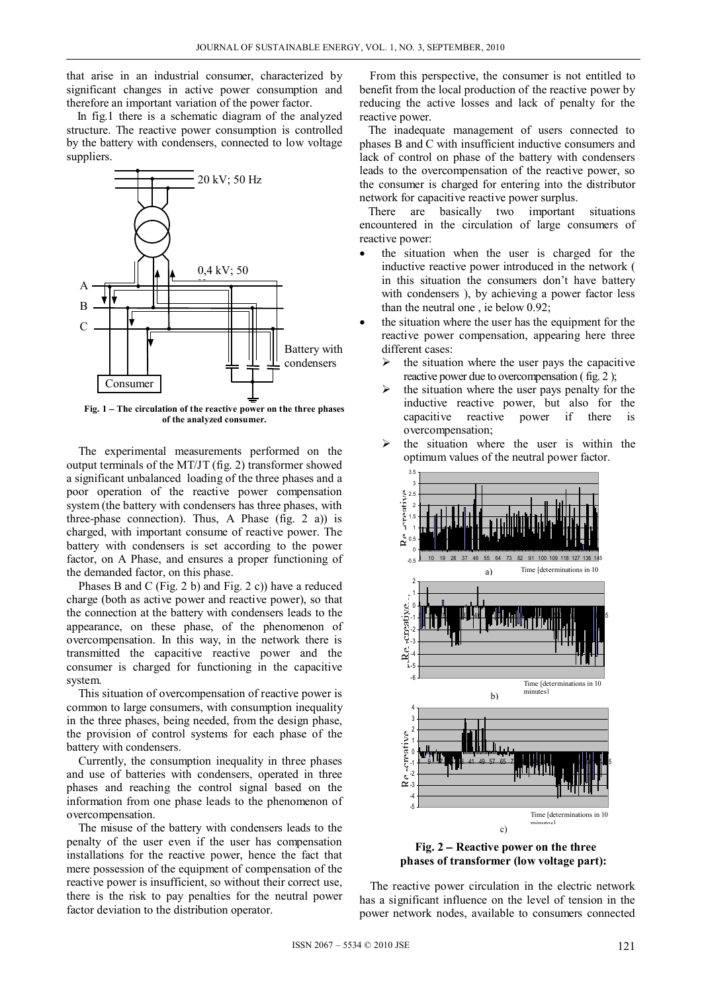that arise in an industrial consumer, characterized by significant changes in active power consumption and therefore an important variation of the power factor.

 In fig.1 there is a schematic diagram of the analyzed structure. The reactive power consumption is controlled by the battery with condensers, connected to low voltage suppliers.



**Fig. 1 The circulation of the reactive power on the three phases of the analyzed consumer.** 

 The experimental measurements performed on the output terminals of the MT/JT (fig. 2) transformer showed a significant unbalanced loading of the three phases and a poor operation of the reactive power compensation system (the battery with condensers has three phases, with three-phase connection). Thus, A Phase (fig. 2 a)) is charged, with important consume of reactive power. The battery with condensers is set according to the power factor, on A Phase, and ensures a proper functioning of the demanded factor, on this phase.

 Phases B and C (Fig. 2 b) and Fig. 2 c)) have a reduced charge (both as active power and reactive power), so that the connection at the battery with condensers leads to the appearance, on these phase, of the phenomenon of overcompensation. In this way, in the network there is transmitted the capacitive reactive power and the consumer is charged for functioning in the capacitive system.

 This situation of overcompensation of reactive power is common to large consumers, with consumption inequality in the three phases, being needed, from the design phase, the provision of control systems for each phase of the battery with condensers.

 Currently, the consumption inequality in three phases and use of batteries with condensers, operated in three phases and reaching the control signal based on the information from one phase leads to the phenomenon of overcompensation.

 The misuse of the battery with condensers leads to the penalty of the user even if the user has compensation installations for the reactive power, hence the fact that mere possession of the equipment of compensation of the reactive power is insufficient, so without their correct use, there is the risk to pay penalties for the neutral power factor deviation to the distribution operator.

 From this perspective, the consumer is not entitled to benefit from the local production of the reactive power by reducing the active losses and lack of penalty for the reactive power.

 The inadequate management of users connected to phases B and C with insufficient inductive consumers and lack of control on phase of the battery with condensers leads to the overcompensation of the reactive power, so the consumer is charged for entering into the distributor network for capacitive reactive power surplus.

 There are basically two important situations encountered in the circulation of large consumers of reactive power:

- the situation when the user is charged for the inductive reactive power introduced in the network ( in this situation the consumers don't have battery with condensers ), by achieving a power factor less than the neutral one , ie below 0.92;
- the situation where the user has the equipment for the reactive power compensation, appearing here three different cases:
	- $\triangleright$  the situation where the user pays the capacitive reactive power due to overcompensation (fig. 2);
	- the situation where the user pays penalty for the inductive reactive power, but also for the capacitive reactive power if there is overcompensation;
	- the situation where the user is within the optimum values of the neutral power factor.



 **Fig. 2 Reactive power on the three phases of transformer (low voltage part):**

 The reactive power circulation in the electric network has a significant influence on the level of tension in the power network nodes, available to consumers connected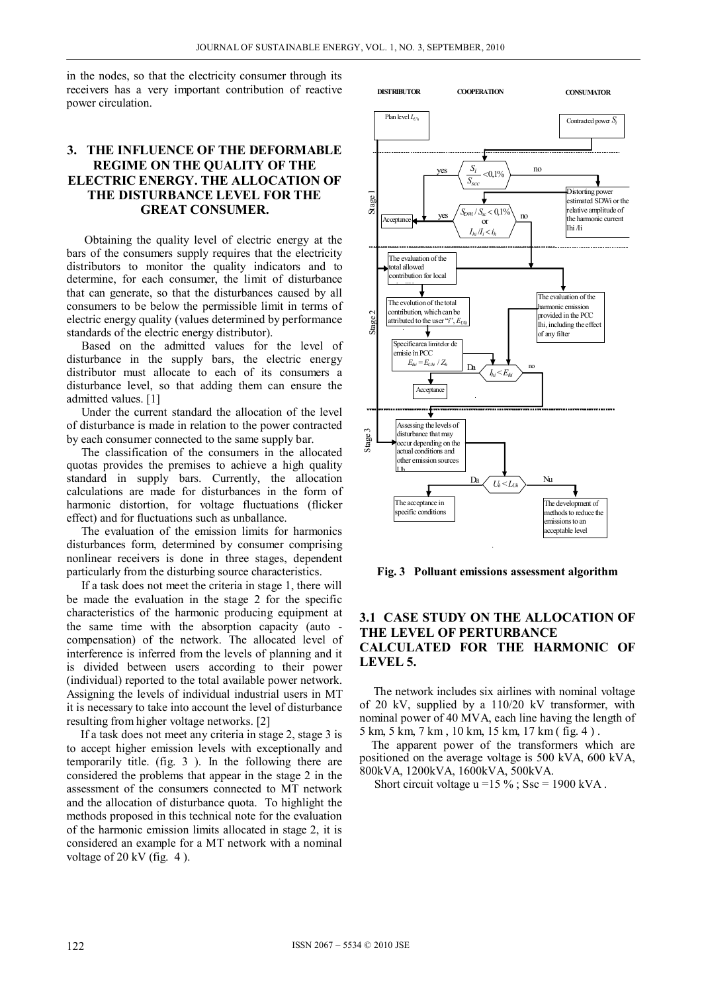in the nodes, so that the electricity consumer through its receivers has a very important contribution of reactive power circulation.

# **3. THE INFLUENCE OF THE DEFORMABLE REGIME ON THE QUALITY OF THE ELECTRIC ENERGY. THE ALLOCATION OF THE DISTURBANCE LEVEL FOR THE GREAT CONSUMER.**

 Obtaining the quality level of electric energy at the bars of the consumers supply requires that the electricity distributors to monitor the quality indicators and to determine, for each consumer, the limit of disturbance that can generate, so that the disturbances caused by all consumers to be below the permissible limit in terms of electric energy quality (values determined by performance standards of the electric energy distributor).

 Based on the admitted values for the level of disturbance in the supply bars, the electric energy distributor must allocate to each of its consumers a disturbance level, so that adding them can ensure the admitted values. [1]

 Under the current standard the allocation of the level of disturbance is made in relation to the power contracted by each consumer connected to the same supply bar.

 The classification of the consumers in the allocated quotas provides the premises to achieve a high quality standard in supply bars. Currently, the allocation calculations are made for disturbances in the form of harmonic distortion, for voltage fluctuations (flicker effect) and for fluctuations such as unballance.

 The evaluation of the emission limits for harmonics disturbances form, determined by consumer comprising nonlinear receivers is done in three stages, dependent particularly from the disturbing source characteristics.

 If a task does not meet the criteria in stage 1, there will be made the evaluation in the stage 2 for the specific characteristics of the harmonic producing equipment at the same time with the absorption capacity (auto compensation) of the network. The allocated level of interference is inferred from the levels of planning and it is divided between users according to their power (individual) reported to the total available power network. Assigning the levels of individual industrial users in MT it is necessary to take into account the level of disturbance resulting from higher voltage networks. [2]

 If a task does not meet any criteria in stage 2, stage 3 is to accept higher emission levels with exceptionally and temporarily title. (fig. 3 ). In the following there are considered the problems that appear in the stage 2 in the assessment of the consumers connected to MT network and the allocation of disturbance quota. To highlight the methods proposed in this technical note for the evaluation of the harmonic emission limits allocated in stage 2, it is considered an example for a MT network with a nominal voltage of 20 kV (fig. 4 ).



**Fig. 3 Polluant emissions assessment algorithm** 

## **3.1 CASE STUDY ON THE ALLOCATION OF THE LEVEL OF PERTURBANCE CALCULATED FOR THE HARMONIC OF LEVEL 5.**

The network includes six airlines with nominal voltage of 20 kV, supplied by a 110/20 kV transformer, with nominal power of 40 MVA, each line having the length of 5 km, 5 km, 7 km , 10 km, 15 km, 17 km ( fig. 4 ) .

 The apparent power of the transformers which are positioned on the average voltage is 500 kVA, 600 kVA, 800kVA, 1200kVA, 1600kVA, 500kVA.

Short circuit voltage  $u = 15 \%$ ; Ssc = 1900 kVA.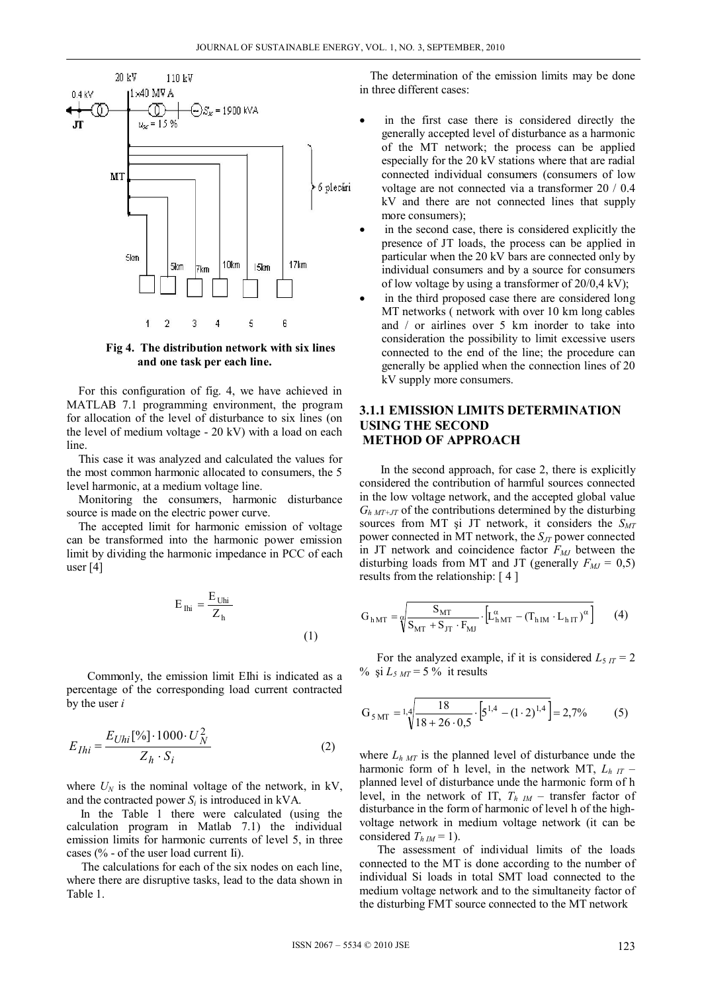

 **Fig 4. The distribution network with six lines and one task per each line.** 

 For this configuration of fig. 4, we have achieved in MATLAB 7.1 programming environment, the program for allocation of the level of disturbance to six lines (on the level of medium voltage - 20 kV) with a load on each line.

 This case it was analyzed and calculated the values for the most common harmonic allocated to consumers, the 5 level harmonic, at a medium voltage line.

 Monitoring the consumers, harmonic disturbance source is made on the electric power curve.

 The accepted limit for harmonic emission of voltage can be transformed into the harmonic power emission limit by dividing the harmonic impedance in PCC of each user [4]

$$
E_{\text{Ihi}} = \frac{E_{\text{Uhi}}}{Z_{\text{h}}} \tag{1}
$$

 Commonly, the emission limit EIhi is indicated as a percentage of the corresponding load current contracted by the user *i* 

$$
E_{Ihi} = \frac{E_{Uhi} [96] \cdot 1000 \cdot U_N^2}{Z_h \cdot S_i}
$$
 (2)

where  $U_N$  is the nominal voltage of the network, in kV, and the contracted power  $S_i$  is introduced in kVA.

 In the Table 1 there were calculated (using the calculation program in Matlab 7.1) the individual emission limits for harmonic currents of level 5, in three cases (% - of the user load current Ii).

 The calculations for each of the six nodes on each line, where there are disruptive tasks, lead to the data shown in Table 1.

 The determination of the emission limits may be done in three different cases:

- in the first case there is considered directly the generally accepted level of disturbance as a harmonic of the MT network; the process can be applied especially for the 20 kV stations where that are radial connected individual consumers (consumers of low voltage are not connected via a transformer 20 / 0.4 kV and there are not connected lines that supply more consumers);
- in the second case, there is considered explicitly the presence of JT loads, the process can be applied in particular when the 20 kV bars are connected only by individual consumers and by a source for consumers of low voltage by using a transformer of 20/0,4 kV);
- in the third proposed case there are considered long MT networks ( network with over 10 km long cables and / or airlines over 5 km inorder to take into consideration the possibility to limit excessive users connected to the end of the line; the procedure can generally be applied when the connection lines of 20 kV supply more consumers.

## **3.1.1 EMISSION LIMITS DETERMINATION USING THE SECOND METHOD OF APPROACH**

 In the second approach, for case 2, there is explicitly considered the contribution of harmful sources connected in the low voltage network, and the accepted global value  $G_{h,MT+JT}$  of the contributions determined by the disturbing sources from MT și JT network, it considers the  $S_{MT}$ power connected in MT network, the *S<sub>JT</sub>* power connected in JT network and coincidence factor  $F_{MJ}$  between the disturbing loads from MT and JT (generally  $F_{MJ} = 0.5$ ) results from the relationship: [ 4 ]

$$
G_{hMT} = \sqrt{\frac{S_{MT}}{S_{MT} + S_{JT} \cdot F_{MJ} \cdot \left[L_{hMT}^{\alpha} - \left(T_{hIM} \cdot L_{hIT}\right)^{\alpha}\right]}}
$$
(4)

For the analyzed example, if it is considered  $L_{5IT} = 2$ % și  $L_{5MT}$  = 5 % it results

$$
G_{5MT} = 1.4 \sqrt{\frac{18}{18 + 26 \cdot 0.5} \cdot \left[ 5^{1.4} - (1 \cdot 2)^{1.4} \right]} = 2.7\% \tag{5}
$$

where  $L_{h,MT}$  is the planned level of disturbance unde the harmonic form of h level, in the network MT,  $L<sub>h</sub>$   $_{IT}$  – planned level of disturbance unde the harmonic form of h level, in the network of IT,  $T_{h \ M}$  – transfer factor of disturbance in the form of harmonic of level h of the highvoltage network in medium voltage network (it can be considered  $T_{hIM} = 1$ ).

 The assessment of individual limits of the loads connected to the MT is done according to the number of individual Si loads in total SMT load connected to the medium voltage network and to the simultaneity factor of the disturbing FMT source connected to the MT network